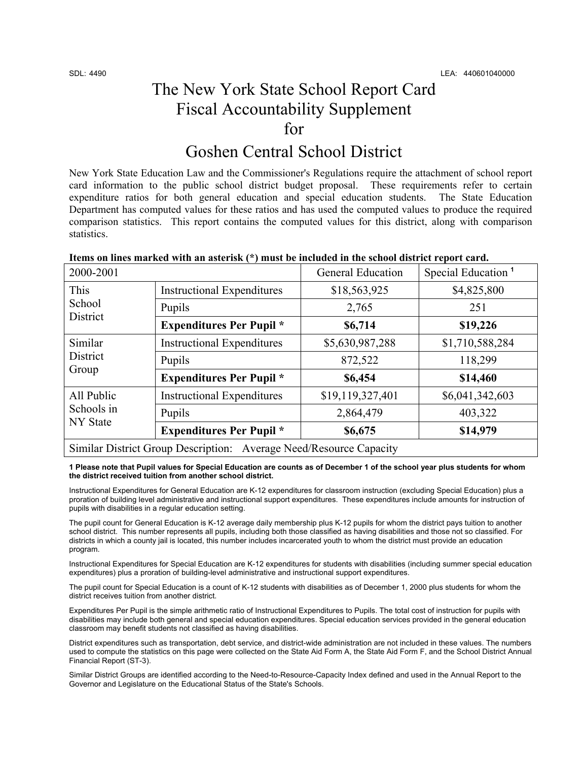## The New York State School Report Card Fiscal Accountability Supplement for

## Goshen Central School District

New York State Education Law and the Commissioner's Regulations require the attachment of school report card information to the public school district budget proposal. These requirements refer to certain expenditure ratios for both general education and special education students. The State Education Department has computed values for these ratios and has used the computed values to produce the required comparison statistics. This report contains the computed values for this district, along with comparison statistics.

| rtenis on nifes mai itea with an asterish (<br>Thus to mean and the senon abuncing report on a |                                   |                          |                                |  |  |
|------------------------------------------------------------------------------------------------|-----------------------------------|--------------------------|--------------------------------|--|--|
| 2000-2001                                                                                      |                                   | <b>General Education</b> | Special Education <sup>1</sup> |  |  |
| <b>This</b><br>School<br>District                                                              | <b>Instructional Expenditures</b> | \$18,563,925             | \$4,825,800                    |  |  |
|                                                                                                | Pupils                            | 2,765                    | 251                            |  |  |
|                                                                                                | <b>Expenditures Per Pupil</b> *   | \$6,714                  | \$19,226                       |  |  |
| Similar<br>District<br>Group                                                                   | <b>Instructional Expenditures</b> | \$5,630,987,288          | \$1,710,588,284                |  |  |
|                                                                                                | Pupils                            | 872,522                  | 118,299                        |  |  |
|                                                                                                | <b>Expenditures Per Pupil</b> *   | \$6,454                  | \$14,460                       |  |  |
| All Public<br>Schools in<br>NY State                                                           | <b>Instructional Expenditures</b> | \$19,119,327,401         | \$6,041,342,603                |  |  |
|                                                                                                | Pupils                            | 2,864,479                | 403,322                        |  |  |
|                                                                                                | <b>Expenditures Per Pupil</b> *   | \$6,675                  | \$14,979                       |  |  |
| Similar District Group Description: Average Need/Resource Capacity                             |                                   |                          |                                |  |  |

### **Items on lines marked with an asterisk (\*) must be included in the school district report card.**

**1 Please note that Pupil values for Special Education are counts as of December 1 of the school year plus students for whom the district received tuition from another school district.** 

Instructional Expenditures for General Education are K-12 expenditures for classroom instruction (excluding Special Education) plus a proration of building level administrative and instructional support expenditures. These expenditures include amounts for instruction of pupils with disabilities in a regular education setting.

The pupil count for General Education is K-12 average daily membership plus K-12 pupils for whom the district pays tuition to another school district. This number represents all pupils, including both those classified as having disabilities and those not so classified. For districts in which a county jail is located, this number includes incarcerated youth to whom the district must provide an education program.

Instructional Expenditures for Special Education are K-12 expenditures for students with disabilities (including summer special education expenditures) plus a proration of building-level administrative and instructional support expenditures.

The pupil count for Special Education is a count of K-12 students with disabilities as of December 1, 2000 plus students for whom the district receives tuition from another district.

Expenditures Per Pupil is the simple arithmetic ratio of Instructional Expenditures to Pupils. The total cost of instruction for pupils with disabilities may include both general and special education expenditures. Special education services provided in the general education classroom may benefit students not classified as having disabilities.

District expenditures such as transportation, debt service, and district-wide administration are not included in these values. The numbers used to compute the statistics on this page were collected on the State Aid Form A, the State Aid Form F, and the School District Annual Financial Report (ST-3).

Similar District Groups are identified according to the Need-to-Resource-Capacity Index defined and used in the Annual Report to the Governor and Legislature on the Educational Status of the State's Schools.